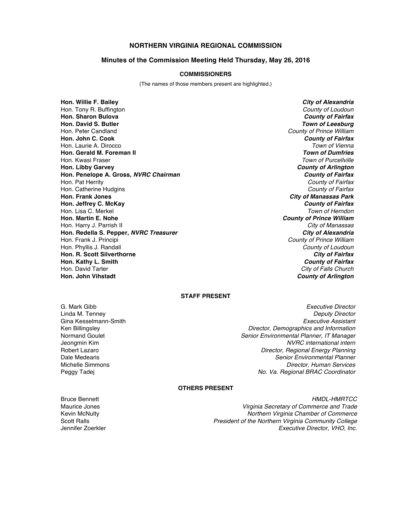# **NORTHERN VIRGINIA REGIONAL COMMISSION**

## **Minutes of the Commission Meeting Held Thursday, May 26, 2016**

#### **COMMISSIONERS**

(The names of those members present are highlighted.)

**Hon. Willie F. Bailey** *City of Alexandria* Hon. Tony R. Buffington *County of Loudoun* **Hon. Sharon Bulova** *County of Fairfax* **Hon. David S. Butler** *Town of Leesburg* Hon. Peter Candland *County of Prince William* **Hon. John C. Cook** *County of Fairfax* Hon. Laurie A. Dirocco *Town of Vienna* **Hon. Gerald M. Foreman II** Hon. Kwasi Fraser *Town of Purcellville* **Hon. Libby Garvey** *County of Arlington* **Hon. Penelope A. Gross,** *NVRC Chairman County of Fairfax* Hon. Pat Herrity *County of Fairfax* Hon. Catherine Hudgins *County of Fairfax* **Hon. Frank Jones** *City of Manassas Park* **Hon. Jeffrey C. McKay** *County of Fairfax* Hon. Lisa C. Merkel<br>**Hon. Martin E. Nohe** Hon. Harry J. Parrish II *City of Manassas* **Hon. Redella S. Pepper,** *NVRC Treasurer* Hon. Frank J. Principi *County of Prince William* Hon. Phyllis J. Randall *County of Loudoun* **Hon. R. Scott Silverthorne** *City of Fairfax* **Hon. Kathy L. Smith** *County of Fairfax* Hon. David Tarter *City of Falls Church*

**County of Prince William County of Arlington** 

## **STAFF PRESENT**

Gina Kesselmann-Smith

G. Mark Gibb *Executive Director* Linda M. Tenney *Deputy Director* Ken Billingsley *Director, Demographics and Information* Normand Goulet *Senior Environmental Planner, IT Manager*  $NVRC$  international intern Robert Lazaro *Director, Regional Energy Planning* Dale Medearis *Senior Environmental Planner* Michelle Simmons *Director, Human Services* Peggy Tadej *No. Va. Regional BRAC Coordinator*

## **OTHERS PRESENT**

Bruce Bennett *HMDL-HMRTCC* Maurice Jones *Virginia Secretary of Commerce and Trade* **Northern Virginia Chamber of Commerce** Scott Ralls *President of the Northern Virginia Community College* Jennifer Zoerkler *Executive Director, VHO, Inc.*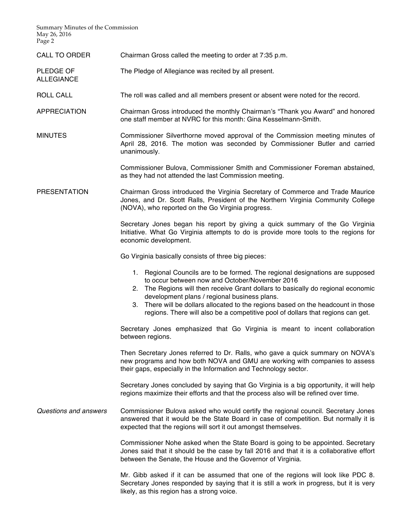Summary Minutes of the Commission May 26, 2016 Page 2

ALLEGIANCE

CALL TO ORDER Chairman Gross called the meeting to order at 7:35 p.m.

PLEDGE OF The Pledge of Allegiance was recited by all present.

ROLL CALL The roll was called and all members present or absent were noted for the record.

APPRECIATION Chairman Gross introduced the monthly Chairman's "Thank you Award" and honored one staff member at NVRC for this month: Gina Kesselmann-Smith.

MINUTES Commissioner Silverthorne moved approval of the Commission meeting minutes of April 28, 2016. The motion was seconded by Commissioner Butler and carried unanimously.

> Commissioner Bulova, Commissioner Smith and Commissioner Foreman abstained, as they had not attended the last Commission meeting.

PRESENTATION Chairman Gross introduced the Virginia Secretary of Commerce and Trade Maurice Jones, and Dr. Scott Ralls, President of the Northern Virginia Community College (NOVA), who reported on the Go Virginia progress.

> Secretary Jones began his report by giving a quick summary of the Go Virginia Initiative. What Go Virginia attempts to do is provide more tools to the regions for economic development.

Go Virginia basically consists of three big pieces:

- 1. Regional Councils are to be formed. The regional designations are supposed to occur between now and October/November 2016
- 2. The Regions will then receive Grant dollars to basically do regional economic development plans / regional business plans.
- 3. There will be dollars allocated to the regions based on the headcount in those regions. There will also be a competitive pool of dollars that regions can get.

Secretary Jones emphasized that Go Virginia is meant to incent collaboration between regions.

Then Secretary Jones referred to Dr. Ralls, who gave a quick summary on NOVA's new programs and how both NOVA and GMU are working with companies to assess their gaps, especially in the Information and Technology sector.

Secretary Jones concluded by saying that Go Virginia is a big opportunity, it will help regions maximize their efforts and that the process also will be refined over time.

*Questions and answers* Commissioner Bulova asked who would certify the regional council. Secretary Jones answered that it would be the State Board in case of competition. But normally it is expected that the regions will sort it out amongst themselves.

> Commissioner Nohe asked when the State Board is going to be appointed. Secretary Jones said that it should be the case by fall 2016 and that it is a collaborative effort between the Senate, the House and the Governor of Virginia.

> Mr. Gibb asked if it can be assumed that one of the regions will look like PDC 8. Secretary Jones responded by saying that it is still a work in progress, but it is very likely, as this region has a strong voice.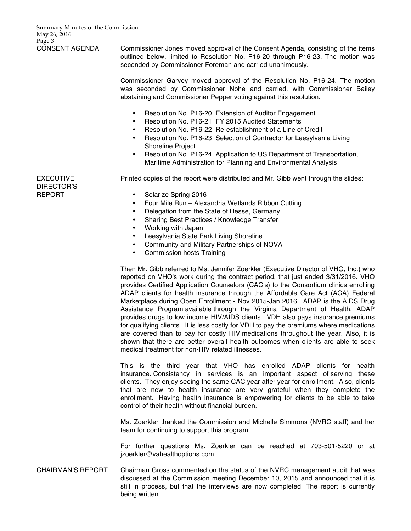CONSENT AGENDA Commissioner Jones moved approval of the Consent Agenda, consisting of the items outlined below, limited to Resolution No. P16-20 through P16-23. The motion was seconded by Commissioner Foreman and carried unanimously.

> Commissioner Garvey moved approval of the Resolution No. P16-24. The motion was seconded by Commissioner Nohe and carried, with Commissioner Bailey abstaining and Commissioner Pepper voting against this resolution.

- Resolution No. P16-20: Extension of Auditor Engagement
- Resolution No. P16-21: FY 2015 Audited Statements
- Resolution No. P16-22: Re-establishment of a Line of Credit
- Resolution No. P16-23: Selection of Contractor for Leesylvania Living Shoreline Project
- Resolution No. P16-24: Application to US Department of Transportation, Maritime Administration for Planning and Environmental Analysis

Printed copies of the report were distributed and Mr. Gibb went through the slides:

EXECUTIVE DIRECTOR'S REPORT

- Solarize Spring 2016
- Four Mile Run Alexandria Wetlands Ribbon Cutting
- Delegation from the State of Hesse, Germany
- Sharing Best Practices / Knowledge Transfer
- Working with Japan
- Leesylvania State Park Living Shoreline
- Community and Military Partnerships of NOVA
- Commission hosts Training

Then Mr. Gibb referred to Ms. Jennifer Zoerkler (Executive Director of VHO, Inc.) who reported on VHO's work during the contract period, that just ended 3/31/2016. VHO provides Certified Application Counselors (CAC's) to the Consortium clinics enrolling ADAP clients for health insurance through the Affordable Care Act (ACA) Federal Marketplace during Open Enrollment - Nov 2015-Jan 2016. ADAP is the AIDS Drug Assistance Program available through the Virginia Department of Health. ADAP provides drugs to low income HIV/AIDS clients. VDH also pays insurance premiums for qualifying clients. It is less costly for VDH to pay the premiums where medications are covered than to pay for costly HIV medications throughout the year. Also, it is shown that there are better overall health outcomes when clients are able to seek medical treatment for non-HIV related illnesses.

This is the third year that VHO has enrolled ADAP clients for health insurance. Consistency in services is an important aspect of serving these clients. They enjoy seeing the same CAC year after year for enrollment. Also, clients that are new to health insurance are very grateful when they complete the enrollment. Having health insurance is empowering for clients to be able to take control of their health without financial burden.

Ms. Zoerkler thanked the Commission and Michelle Simmons (NVRC staff) and her team for continuing to support this program.

For further questions Ms. Zoerkler can be reached at 703-501-5220 or at jzoerkler@vahealthoptions.com.

CHAIRMAN'S REPORT Chairman Gross commented on the status of the NVRC management audit that was discussed at the Commission meeting December 10, 2015 and announced that it is still in process, but that the interviews are now completed. The report is currently being written.